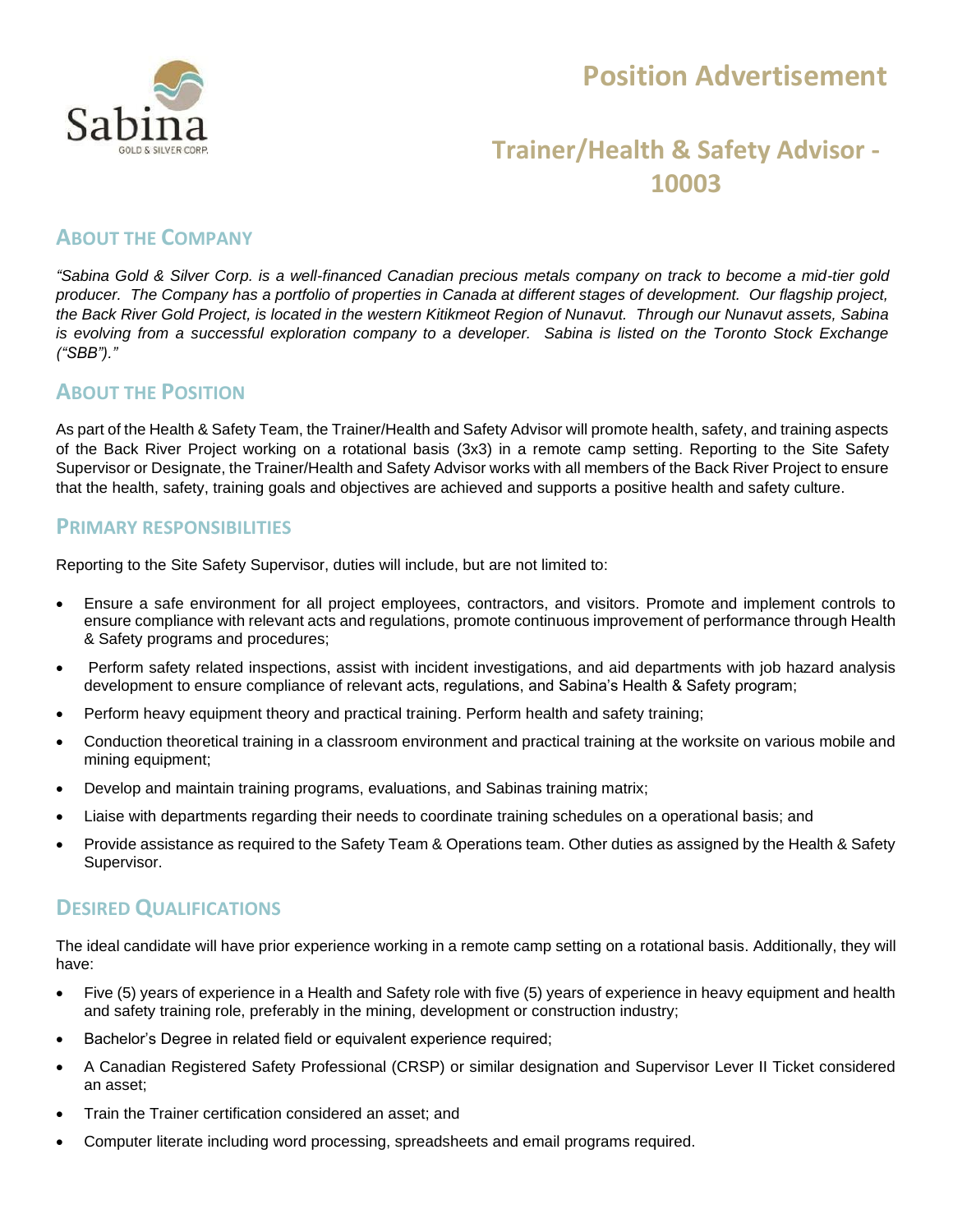

## **Position Advertisement**

## **Trainer/Health & Safety Advisor - 10003**

#### **ABOUT THE COMPANY**

*"Sabina Gold & Silver Corp. is a well-financed Canadian precious metals company on track to become a mid-tier gold producer. The Company has a portfolio of properties in Canada at different stages of development. Our flagship project, the Back River Gold Project, is located in the western Kitikmeot Region of Nunavut. Through our Nunavut assets, Sabina is evolving from a successful exploration company to a developer. Sabina is listed on the Toronto Stock Exchange ("SBB")."*

#### **ABOUT THE POSITION**

As part of the Health & Safety Team, the Trainer/Health and Safety Advisor will promote health, safety, and training aspects of the Back River Project working on a rotational basis (3x3) in a remote camp setting. Reporting to the Site Safety Supervisor or Designate, the Trainer/Health and Safety Advisor works with all members of the Back River Project to ensure that the health, safety, training goals and objectives are achieved and supports a positive health and safety culture.

#### **PRIMARY RESPONSIBILITIES**

Reporting to the Site Safety Supervisor, duties will include, but are not limited to:

- Ensure a safe environment for all project employees, contractors, and visitors. Promote and implement controls to ensure compliance with relevant acts and regulations, promote continuous improvement of performance through Health & Safety programs and procedures;
- Perform safety related inspections, assist with incident investigations, and aid departments with job hazard analysis development to ensure compliance of relevant acts, regulations, and Sabina's Health & Safety program;
- Perform heavy equipment theory and practical training. Perform health and safety training;
- Conduction theoretical training in a classroom environment and practical training at the worksite on various mobile and mining equipment;
- Develop and maintain training programs, evaluations, and Sabinas training matrix;
- Liaise with departments regarding their needs to coordinate training schedules on a operational basis; and
- Provide assistance as required to the Safety Team & Operations team. Other duties as assigned by the Health & Safety Supervisor.

#### **DESIRED QUALIFICATIONS**

The ideal candidate will have prior experience working in a remote camp setting on a rotational basis. Additionally, they will have:

- Five (5) years of experience in a Health and Safety role with five (5) years of experience in heavy equipment and health and safety training role, preferably in the mining, development or construction industry;
- Bachelor's Degree in related field or equivalent experience required;
- A Canadian Registered Safety Professional (CRSP) or similar designation and Supervisor Lever II Ticket considered an asset;
- Train the Trainer certification considered an asset; and
- Computer literate including word processing, spreadsheets and email programs required.